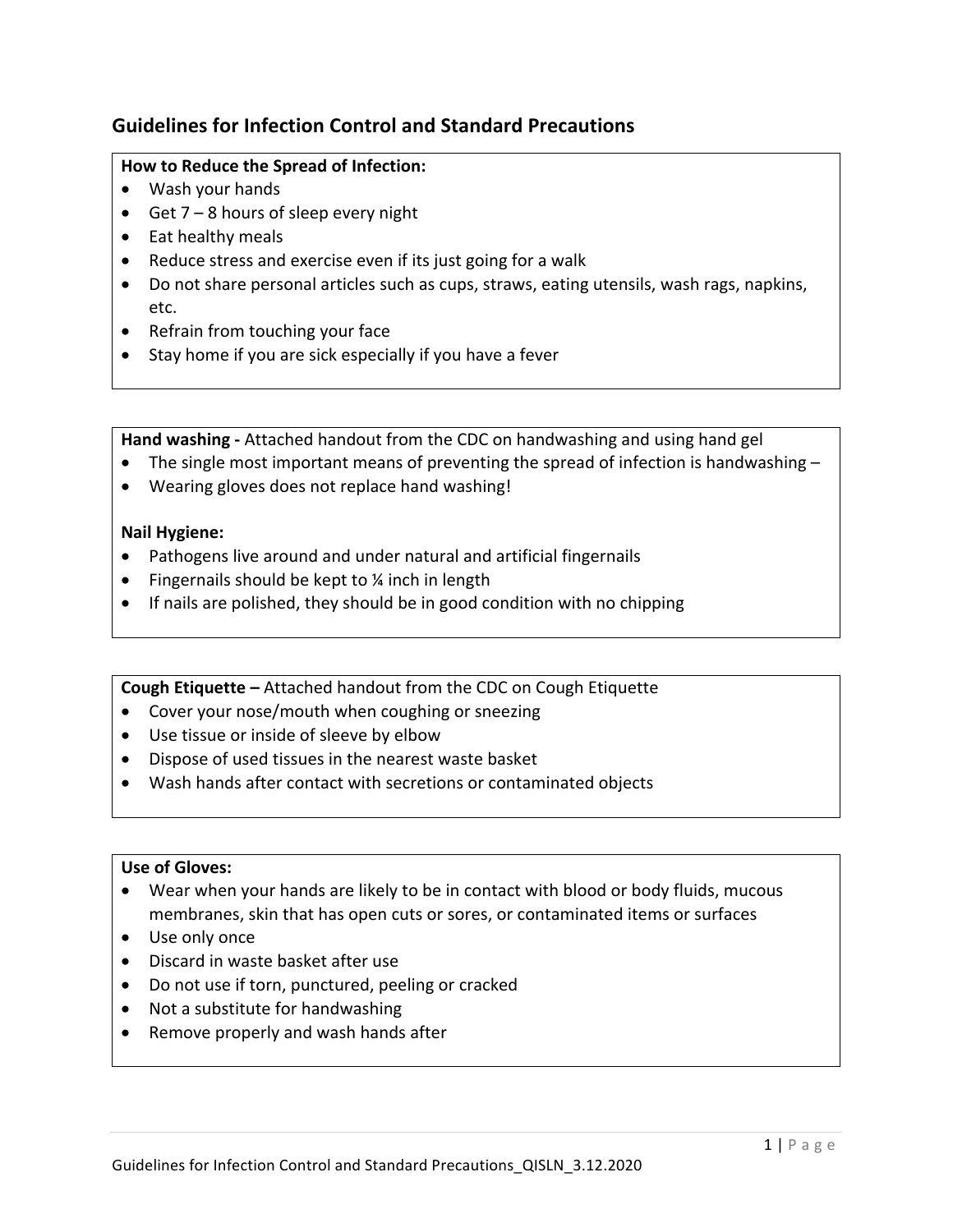# **Guidelines for Infection Control and Standard Precautions**

# **How to Reduce the Spread of Infection:**

- Wash your hands
- Get  $7 8$  hours of sleep every night
- Eat healthy meals
- Reduce stress and exercise even if its just going for a walk
- Do not share personal articles such as cups, straws, eating utensils, wash rags, napkins, etc.
- Refrain from touching your face
- Stay home if you are sick especially if you have a fever

**Hand washing** - Attached handout from the CDC on handwashing and using hand gel

- The single most important means of preventing the spread of infection is handwashing  $-$
- Wearing gloves does not replace hand washing!

### **Nail Hygiene:**

- Pathogens live around and under natural and artificial fingernails
- Fingernails should be kept to  $\frac{1}{4}$  inch in length
- If nails are polished, they should be in good condition with no chipping

#### **Cough Etiquette** – Attached handout from the CDC on Cough Etiquette

- Cover your nose/mouth when coughing or sneezing
- Use tissue or inside of sleeve by elbow
- Dispose of used tissues in the nearest waste basket
- Wash hands after contact with secretions or contaminated objects

## Use of Gloves:

- Wear when your hands are likely to be in contact with blood or body fluids, mucous membranes, skin that has open cuts or sores, or contaminated items or surfaces
- Use only once
- Discard in waste basket after use
- Do not use if torn, punctured, peeling or cracked
- $\bullet$  Not a substitute for handwashing
- Remove properly and wash hands after